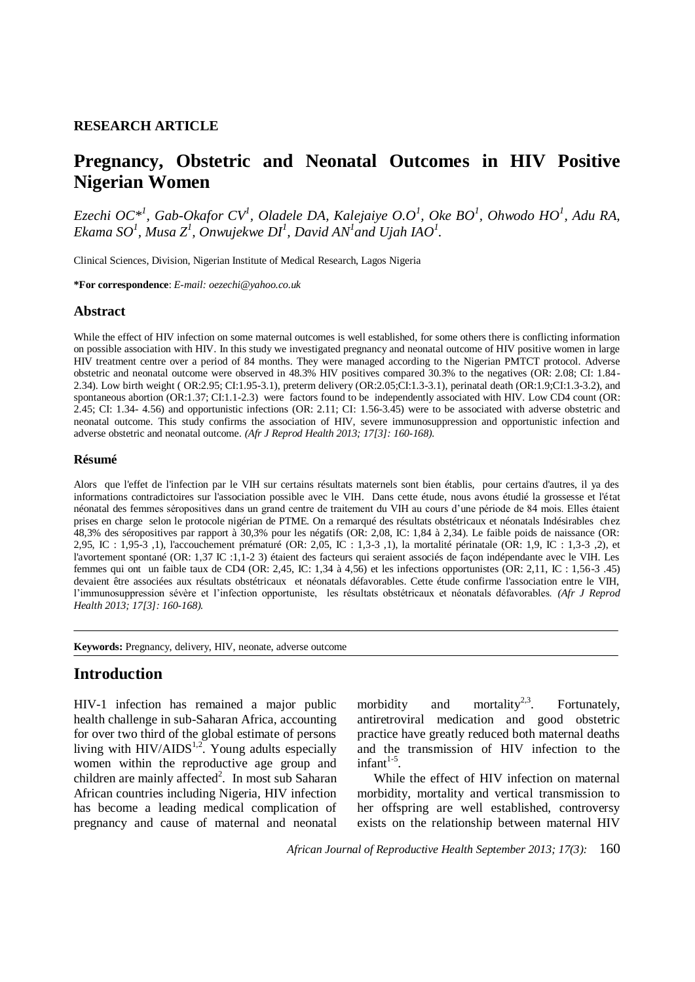#### **RESEARCH ARTICLE**

# **Pregnancy, Obstetric and Neonatal Outcomes in HIV Positive Nigerian Women**

*Ezechi OC\*<sup>1</sup> , Gab-Okafor CV<sup>1</sup> , Oladele DA, Kalejaiye O.O<sup>1</sup> , Oke BO<sup>1</sup> , Ohwodo HO<sup>1</sup> , Adu RA, Ekama SO<sup>1</sup>, Musa Z<sup>1</sup>, Onwujekwe DI<sup>1</sup>, David AN<sup>1</sup> and Ujah IAO<sup>1</sup>.* 

Clinical Sciences, Division, Nigerian Institute of Medical Research, Lagos Nigeria

**\*For correspondence**: *E-mail: oezechi@yahoo.co.uk*

#### **Abstract**

While the effect of HIV infection on some maternal outcomes is well established, for some others there is conflicting information on possible association with HIV. In this study we investigated pregnancy and neonatal outcome of HIV positive women in large HIV treatment centre over a period of 84 months. They were managed according to the Nigerian PMTCT protocol. Adverse obstetric and neonatal outcome were observed in 48.3% HIV positives compared 30.3% to the negatives (OR: 2.08; CI: 1.84- 2.34). Low birth weight ( OR:2.95; CI:1.95-3.1), preterm delivery (OR:2.05;CI:1.3-3.1), perinatal death (OR:1.9;CI:1.3-3.2), and spontaneous abortion (OR:1.37; CI:1.1-2.3) were factors found to be independently associated with HIV. Low CD4 count (OR: 2.45; CI: 1.34- 4.56) and opportunistic infections (OR: 2.11; CI: 1.56-3.45) were to be associated with adverse obstetric and neonatal outcome. This study confirms the association of HIV, severe immunosuppression and opportunistic infection and adverse obstetric and neonatal outcome. *(Afr J Reprod Health 2013; 17[3]: 160-168).*

#### **Résumé**

Alors que l'effet de l'infection par le VIH sur certains résultats maternels sont bien établis, pour certains d'autres, il ya des informations contradictoires sur l'association possible avec le VIH. Dans cette étude, nous avons étudié la grossesse et l'état néonatal des femmes séropositives dans un grand centre de traitement du VIH au cours d'une période de 84 mois. Elles étaient prises en charge selon le protocole nigérian de PTME. On a remarqué des résultats obstétricaux et néonatals Indésirables chez 48,3% des séropositives par rapport à 30,3% pour les négatifs (OR: 2,08, IC: 1,84 à 2,34). Le faible poids de naissance (OR: 2,95, IC : 1,95-3 ,1), l'accouchement prématuré (OR: 2,05, IC : 1,3-3 ,1), la mortalité périnatale (OR: 1,9, IC : 1,3-3 ,2), et l'avortement spontané (OR: 1,37 IC :1,1-2 3) étaient des facteurs qui seraient associés de façon indépendante avec le VIH. Les femmes qui ont un faible taux de CD4 (OR: 2,45, IC: 1,34 à 4,56) et les infections opportunistes (OR: 2,11, IC : 1,56-3 .45) devaient être associées aux résultats obstétricaux et néonatals défavorables. Cette étude confirme l'association entre le VIH, l'immunosuppression sévère et l'infection opportuniste, les résultats obstétricaux et néonatals défavorables. *(Afr J Reprod Health 2013; 17[3]: 160-168).*

**Keywords:** Pregnancy, delivery, HIV, neonate, adverse outcome 1

### **Introduction**

HIV-1 infection has remained a major public health challenge in sub-Saharan Africa, accounting for over two third of the global estimate of persons living with  $HIV/ALDS^{1,2}$ . Young adults especially women within the reproductive age group and children are mainly affected<sup>2</sup>. In most sub Saharan African countries including Nigeria, HIV infection has become a leading medical complication of pregnancy and cause of maternal and neonatal

morbidity and mortality<sup>2,3</sup>. Fortunately, antiretroviral medication and good obstetric practice have greatly reduced both maternal deaths and the transmission of HIV infection to the  $infant<sup>1-5</sup>$ .

While the effect of HIV infection on maternal morbidity, mortality and vertical transmission to her offspring are well established, controversy exists on the relationship between maternal HIV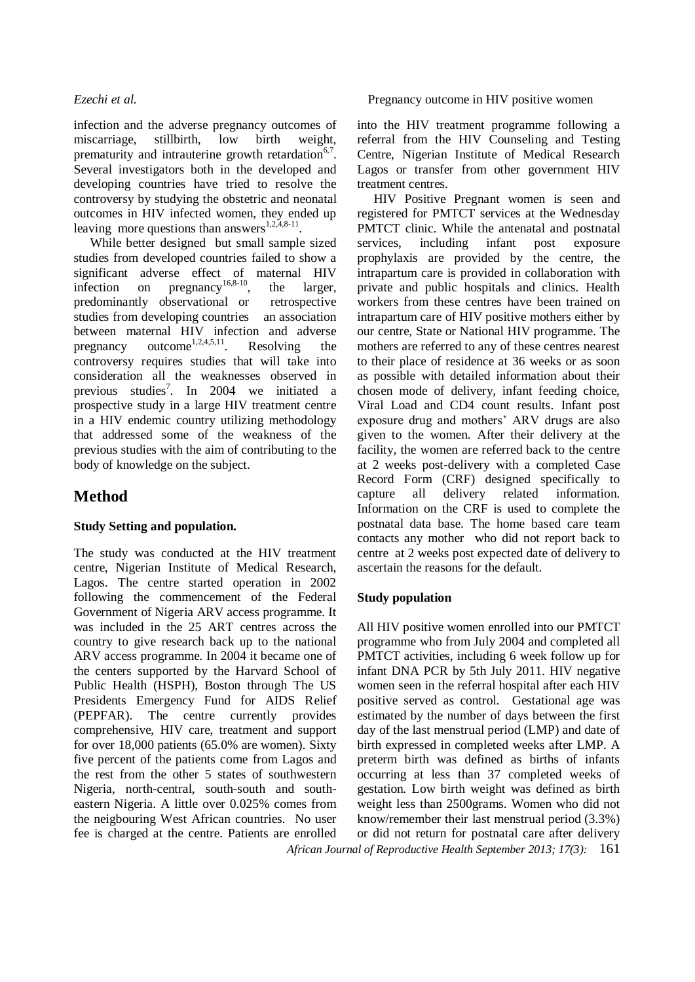infection and the adverse pregnancy outcomes of miscarriage, stillbirth, low birth weight, prematurity and intrauterine growth retardation<sup>6,7</sup>. Several investigators both in the developed and developing countries have tried to resolve the controversy by studying the obstetric and neonatal outcomes in HIV infected women, they ended up leaving more questions than answers<sup>1,2,4,8-11</sup>.

While better designed but small sample sized studies from developed countries failed to show a significant adverse effect of maternal HIV infection on pregnancy<sup>16,8-10</sup>, the larger, predominantly observational or retrospective studies from developing countries an association between maternal HIV infection and adverse pregnancy outcome<sup>1,2,4,5,11</sup>. Resolving the controversy requires studies that will take into consideration all the weaknesses observed in previous studies<sup>7</sup>. In 2004 we initiated a prospective study in a large HIV treatment centre in a HIV endemic country utilizing methodology that addressed some of the weakness of the previous studies with the aim of contributing to the body of knowledge on the subject.

## **Method**

#### **Study Setting and population.**

The study was conducted at the HIV treatment centre, Nigerian Institute of Medical Research, Lagos. The centre started operation in 2002 following the commencement of the Federal Government of Nigeria ARV access programme. It was included in the 25 ART centres across the country to give research back up to the national ARV access programme. In 2004 it became one of the centers supported by the Harvard School of Public Health (HSPH), Boston through The US Presidents Emergency Fund for AIDS Relief (PEPFAR). The centre currently provides comprehensive, HIV care, treatment and support for over 18,000 patients (65.0% are women). Sixty five percent of the patients come from Lagos and the rest from the other 5 states of southwestern Nigeria, north-central, south-south and southeastern Nigeria. A little over 0.025% comes from the neigbouring West African countries. No user fee is charged at the centre. Patients are enrolled

into the HIV treatment programme following a referral from the HIV Counseling and Testing Centre, Nigerian Institute of Medical Research Lagos or transfer from other government HIV treatment centres.

HIV Positive Pregnant women is seen and registered for PMTCT services at the Wednesday PMTCT clinic. While the antenatal and postnatal services, including infant post exposure prophylaxis are provided by the centre, the intrapartum care is provided in collaboration with private and public hospitals and clinics. Health workers from these centres have been trained on intrapartum care of HIV positive mothers either by our centre, State or National HIV programme. The mothers are referred to any of these centres nearest to their place of residence at 36 weeks or as soon as possible with detailed information about their chosen mode of delivery, infant feeding choice, Viral Load and CD4 count results. Infant post exposure drug and mothers' ARV drugs are also given to the women. After their delivery at the facility, the women are referred back to the centre at 2 weeks post-delivery with a completed Case Record Form (CRF) designed specifically to capture all delivery related information. Information on the CRF is used to complete the postnatal data base. The home based care team contacts any mother who did not report back to centre at 2 weeks post expected date of delivery to ascertain the reasons for the default.

### **Study population**

All HIV positive women enrolled into our PMTCT programme who from July 2004 and completed all PMTCT activities, including 6 week follow up for infant DNA PCR by 5th July 2011. HIV negative women seen in the referral hospital after each HIV positive served as control. Gestational age was estimated by the number of days between the first day of the last menstrual period (LMP) and date of birth expressed in completed weeks after LMP. A preterm birth was defined as births of infants occurring at less than 37 completed weeks of gestation. Low birth weight was defined as birth weight less than 2500grams. Women who did not know/remember their last menstrual period (3.3%) or did not return for postnatal care after delivery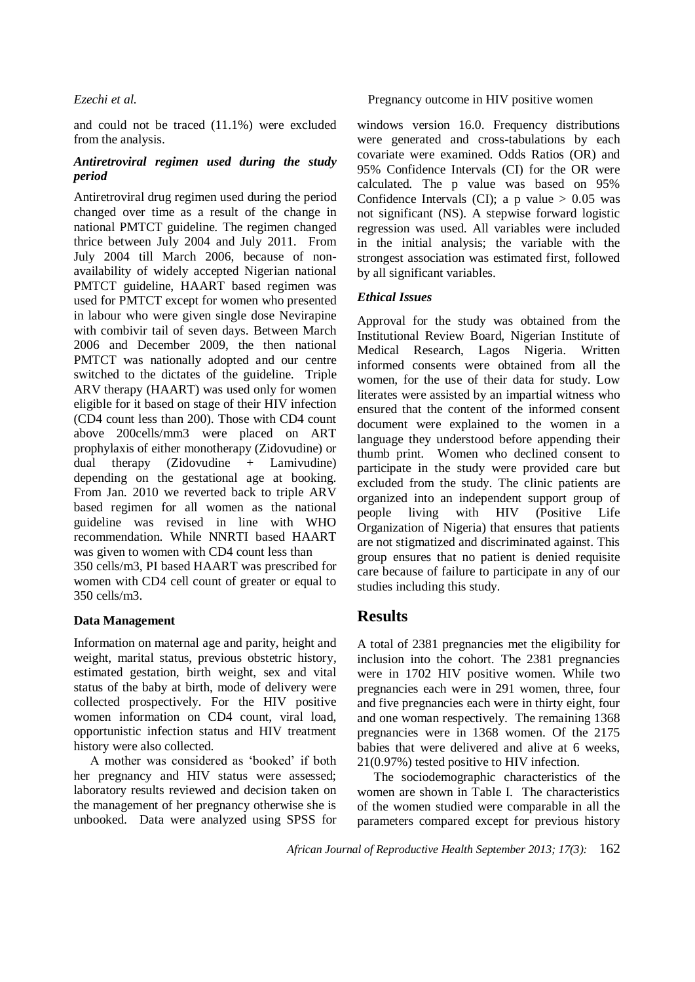and could not be traced (11.1%) were excluded from the analysis.

#### *Antiretroviral regimen used during the study period*

Antiretroviral drug regimen used during the period changed over time as a result of the change in national PMTCT guideline. The regimen changed thrice between July 2004 and July 2011. From July 2004 till March 2006, because of nonavailability of widely accepted Nigerian national PMTCT guideline, HAART based regimen was used for PMTCT except for women who presented in labour who were given single dose Nevirapine with combivir tail of seven days. Between March 2006 and December 2009, the then national PMTCT was nationally adopted and our centre switched to the dictates of the guideline. Triple ARV therapy (HAART) was used only for women eligible for it based on stage of their HIV infection (CD4 count less than 200). Those with CD4 count above 200cells/mm3 were placed on ART prophylaxis of either monotherapy (Zidovudine) or dual therapy (Zidovudine + Lamivudine) depending on the gestational age at booking. From Jan. 2010 we reverted back to triple ARV based regimen for all women as the national guideline was revised in line with WHO recommendation. While NNRTI based HAART was given to women with CD4 count less than

350 cells/m3, PI based HAART was prescribed for women with CD4 cell count of greater or equal to 350 cells/m3.

#### **Data Management**

Information on maternal age and parity, height and weight, marital status, previous obstetric history, estimated gestation, birth weight, sex and vital status of the baby at birth, mode of delivery were collected prospectively. For the HIV positive women information on CD4 count, viral load, opportunistic infection status and HIV treatment history were also collected.

A mother was considered as 'booked' if both her pregnancy and HIV status were assessed; laboratory results reviewed and decision taken on the management of her pregnancy otherwise she is unbooked. Data were analyzed using SPSS for

#### *Ezechi et al.* Pregnancy outcome in HIV positive women

windows version 16.0. Frequency distributions were generated and cross-tabulations by each covariate were examined. Odds Ratios (OR) and 95% Confidence Intervals (CI) for the OR were calculated. The p value was based on 95% Confidence Intervals (CI); a p value  $> 0.05$  was not significant (NS). A stepwise forward logistic regression was used. All variables were included in the initial analysis; the variable with the strongest association was estimated first, followed by all significant variables.

### *Ethical Issues*

Approval for the study was obtained from the Institutional Review Board, Nigerian Institute of Medical Research, Lagos Nigeria. Written informed consents were obtained from all the women, for the use of their data for study. Low literates were assisted by an impartial witness who ensured that the content of the informed consent document were explained to the women in a language they understood before appending their thumb print. Women who declined consent to participate in the study were provided care but excluded from the study. The clinic patients are organized into an independent support group of people living with HIV (Positive Life Organization of Nigeria) that ensures that patients are not stigmatized and discriminated against. This group ensures that no patient is denied requisite care because of failure to participate in any of our studies including this study.

## **Results**

A total of 2381 pregnancies met the eligibility for inclusion into the cohort. The 2381 pregnancies were in 1702 HIV positive women. While two pregnancies each were in 291 women, three, four and five pregnancies each were in thirty eight, four and one woman respectively. The remaining 1368 pregnancies were in 1368 women. Of the 2175 babies that were delivered and alive at 6 weeks, 21(0.97%) tested positive to HIV infection.

The sociodemographic characteristics of the women are shown in Table I. The characteristics of the women studied were comparable in all the parameters compared except for previous history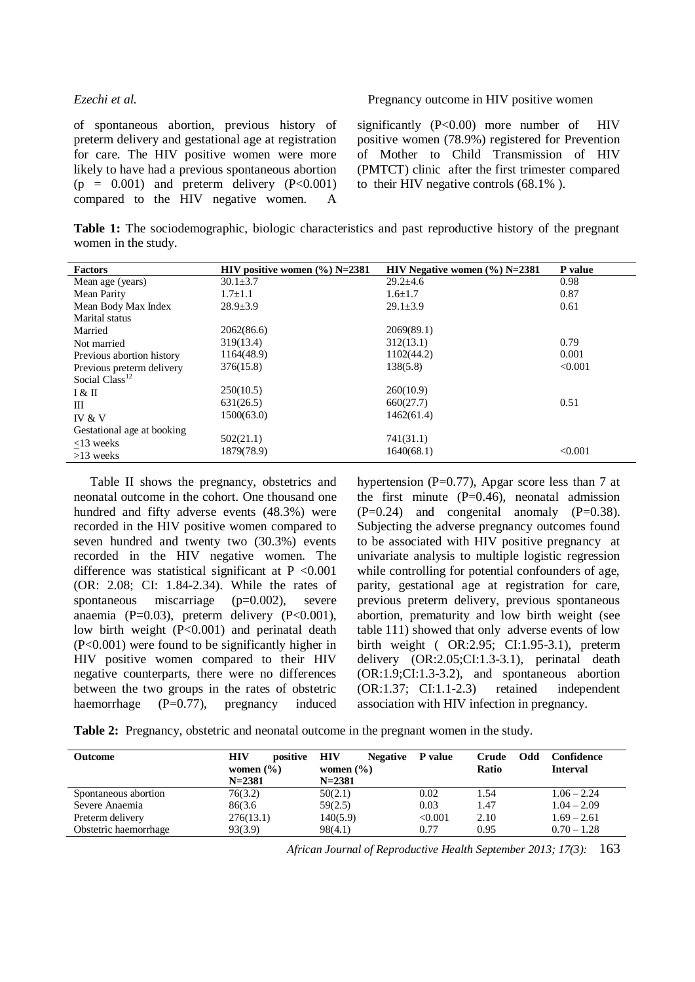of spontaneous abortion, previous history of preterm delivery and gestational age at registration for care. The HIV positive women were more likely to have had a previous spontaneous abortion  $(p = 0.001)$  and preterm delivery  $(P<0.001)$ compared to the HIV negative women. A

*Ezechi et al.* Pregnancy outcome in HIV positive women

significantly  $(P<0.00)$  more number of HIV positive women (78.9%) registered for Prevention of Mother to Child Transmission of HIV (PMTCT) clinic after the first trimester compared to their HIV negative controls (68.1% ).

**Table 1:** The sociodemographic, biologic characteristics and past reproductive history of the pregnant women in the study.

| Factors                    | HIV positive women $(\%)$ N=2381 | HIV Negative women $(\%)$ N=2381 | P value |
|----------------------------|----------------------------------|----------------------------------|---------|
| Mean age (years)           | $30.1 \pm 3.7$                   | $29.2 \pm 4.6$                   | 0.98    |
| Mean Parity                | $1.7 \pm 1.1$                    | $1.6 \pm 1.7$                    | 0.87    |
| Mean Body Max Index        | $28.9 \pm 3.9$                   | $29.1 \pm 3.9$                   | 0.61    |
| Marital status             |                                  |                                  |         |
| Married                    | 2062(86.6)                       | 2069(89.1)                       |         |
| Not married                | 319(13.4)                        | 312(13.1)                        | 0.79    |
| Previous abortion history  | 1164(48.9)                       | 1102(44.2)                       | 0.001   |
| Previous preterm delivery  | 376(15.8)                        | 138(5.8)                         | < 0.001 |
| Social Class <sup>12</sup> |                                  |                                  |         |
| I & H                      | 250(10.5)                        | 260(10.9)                        |         |
| Ш                          | 631(26.5)                        | 660(27.7)                        | 0.51    |
| IV & V                     | 1500(63.0)                       | 1462(61.4)                       |         |
| Gestational age at booking |                                  |                                  |         |
| $<$ 13 weeks               | 502(21.1)                        | 741(31.1)                        |         |
| $>13$ weeks                | 1879(78.9)                       | 1640(68.1)                       | < 0.001 |

Table II shows the pregnancy, obstetrics and neonatal outcome in the cohort. One thousand one hundred and fifty adverse events (48.3%) were recorded in the HIV positive women compared to seven hundred and twenty two (30.3%) events recorded in the HIV negative women. The difference was statistical significant at  $P < 0.001$ (OR: 2.08; CI: 1.84-2.34). While the rates of spontaneous miscarriage (p=0.002), severe anaemia (P=0.03), preterm delivery (P<0.001), low birth weight (P<0.001) and perinatal death (P<0.001) were found to be significantly higher in HIV positive women compared to their HIV negative counterparts, there were no differences between the two groups in the rates of obstetric haemorrhage (P=0.77), pregnancy induced hypertension (P=0.77), Apgar score less than 7 at the first minute  $(P=0.46)$ , neonatal admission  $(P=0.24)$  and congenital anomaly  $(P=0.38)$ . Subjecting the adverse pregnancy outcomes found to be associated with HIV positive pregnancy at univariate analysis to multiple logistic regression while controlling for potential confounders of age, parity, gestational age at registration for care, previous preterm delivery, previous spontaneous abortion, prematurity and low birth weight (see table 111) showed that only adverse events of low birth weight ( OR:2.95; CI:1.95-3.1), preterm delivery (OR:2.05;CI:1.3-3.1), perinatal death (OR:1.9;CI:1.3-3.2), and spontaneous abortion (OR:1.37; CI:1.1-2.3) retained independent association with HIV infection in pregnancy.

**Table 2:** Pregnancy, obstetric and neonatal outcome in the pregnant women in the study.

| <b>Outcome</b>        | <b>HIV</b><br>positive      | HIV<br><b>Negative</b><br>women $(\% )$ | P value | Odd<br>Crude<br>Ratio | Confidence<br><b>Interval</b> |
|-----------------------|-----------------------------|-----------------------------------------|---------|-----------------------|-------------------------------|
|                       | women $(\% )$<br>$N = 2381$ | $N = 2381$                              |         |                       |                               |
| Spontaneous abortion  | 76(3.2)                     | 50(2.1)                                 | 0.02    | 1.54                  | $1.06 - 2.24$                 |
| Severe Anaemia        | 86(3.6)                     | 59(2.5)                                 | 0.03    | 1.47                  | $1.04 - 2.09$                 |
| Preterm delivery      | 276(13.1)                   | 140(5.9)                                | < 0.001 | 2.10                  | $1.69 - 2.61$                 |
| Obstetric haemorrhage | 93(3.9)                     | 98(4.1)                                 | 0.77    | 0.95                  | $0.70 - 1.28$                 |
|                       |                             |                                         |         |                       |                               |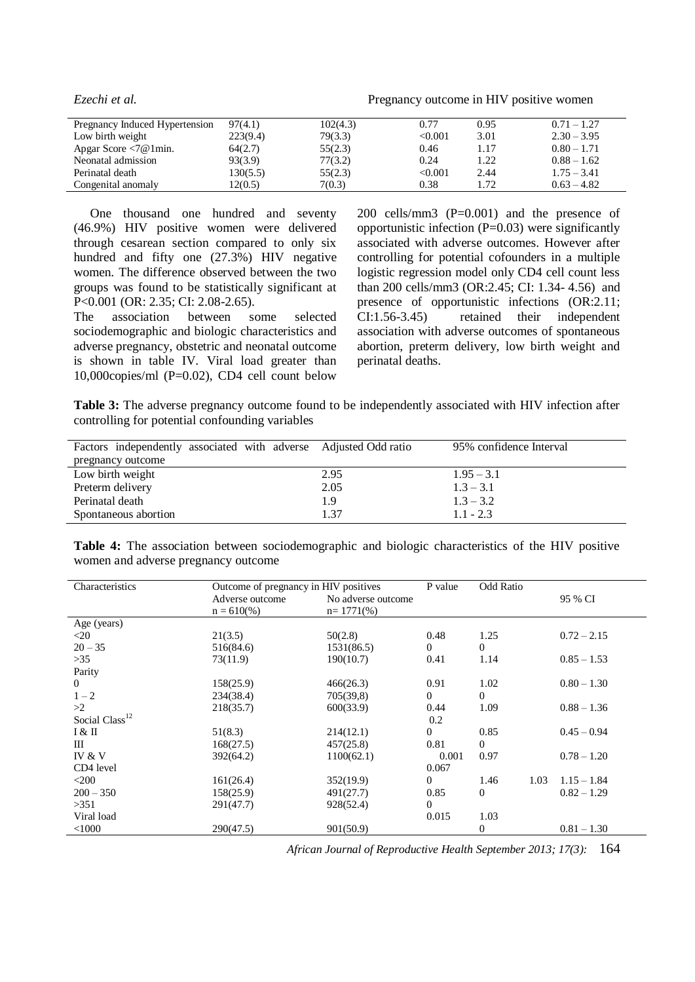*Ezechi et al.* Pregnancy outcome in HIV positive women

| Pregnancy Induced Hypertension                        | 97(4.1)  | 102(4.3) | 0.77    | 0.95 | $0.71 - 1.27$ |
|-------------------------------------------------------|----------|----------|---------|------|---------------|
| Low birth weight                                      | 223(9.4) | 79(3.3)  | < 0.001 | 3.01 | $2.30 - 3.95$ |
| Apgar Score $\langle 7\omega \, \text{1min.} \rangle$ | 64(2.7)  | 55(2.3)  | 0.46    | 1.17 | $0.80 - 1.71$ |
| Neonatal admission                                    | 93(3.9)  | 77(3.2)  | 0.24    | 1.22 | $0.88 - 1.62$ |
| Perinatal death                                       | 130(5.5) | 55(2.3)  | < 0.001 | 2.44 | $1.75 - 3.41$ |
| Congenital anomaly                                    | 12(0.5)  | 7(0.3)   | 0.38    | 1.72 | $0.63 - 4.82$ |

One thousand one hundred and seventy (46.9%) HIV positive women were delivered through cesarean section compared to only six hundred and fifty one  $(27.3\%)$  HIV negative women. The difference observed between the two groups was found to be statistically significant at P<0.001 (OR: 2.35; CI: 2.08-2.65).

The association between some selected sociodemographic and biologic characteristics and adverse pregnancy, obstetric and neonatal outcome is shown in table IV. Viral load greater than 10,000copies/ml (P=0.02), CD4 cell count below

200 cells/mm3 (P=0.001) and the presence of opportunistic infection  $(P=0.03)$  were significantly associated with adverse outcomes. However after controlling for potential cofounders in a multiple logistic regression model only CD4 cell count less than 200 cells/mm3 (OR:2.45; CI: 1.34- 4.56) and presence of opportunistic infections (OR:2.11; CI:1.56-3.45) retained their independent association with adverse outcomes of spontaneous abortion, preterm delivery, low birth weight and perinatal deaths.

**Table 3:** The adverse pregnancy outcome found to be independently associated with HIV infection after controlling for potential confounding variables

| Factors independently associated with adverse Adjusted Odd ratio |      | 95% confidence Interval |
|------------------------------------------------------------------|------|-------------------------|
| pregnancy outcome                                                |      |                         |
| Low birth weight                                                 | 2.95 | $1.95 - 3.1$            |
| Preterm delivery                                                 | 2.05 | $1.3 - 3.1$             |
| Perinatal death                                                  | 1.9  | $1.3 - 3.2$             |
| Spontaneous abortion                                             | 1.37 | $1.1 - 2.3$             |

|  |                                     | Table 4: The association between sociodemographic and biologic characteristics of the HIV positive |  |  |  |  |
|--|-------------------------------------|----------------------------------------------------------------------------------------------------|--|--|--|--|
|  | women and adverse pregnancy outcome |                                                                                                    |  |  |  |  |

| Characteristics            | Outcome of pregnancy in HIV positives |                    | P value        | Odd Ratio      |               |
|----------------------------|---------------------------------------|--------------------|----------------|----------------|---------------|
|                            | Adverse outcome                       | No adverse outcome |                |                | 95 % CI       |
|                            | $n = 610\%$                           | $n = 1771(\%)$     |                |                |               |
| Age (years)                |                                       |                    |                |                |               |
| $<$ 20                     | 21(3.5)                               | 50(2.8)            | 0.48           | 1.25           | $0.72 - 2.15$ |
| $20 - 35$                  | 516(84.6)                             | 1531(86.5)         | $\overline{0}$ | $\overline{0}$ |               |
| $>35$                      | 73(11.9)                              | 190(10.7)          | 0.41           | 1.14           | $0.85 - 1.53$ |
| Parity                     |                                       |                    |                |                |               |
| $\overline{0}$             | 158(25.9)                             | 466(26.3)          | 0.91           | 1.02           | $0.80 - 1.30$ |
| $1 - 2$                    | 234(38.4)                             | 705(39,8)          | $\overline{0}$ | 0              |               |
| >2                         | 218(35.7)                             | 600(33.9)          | 0.44           | 1.09           | $0.88 - 1.36$ |
| Social Class <sup>12</sup> |                                       |                    | 0.2            |                |               |
| I & II                     | 51(8.3)                               | 214(12.1)          | $\overline{0}$ | 0.85           | $0.45 - 0.94$ |
| Ш                          | 168(27.5)                             | 457(25.8)          | 0.81           | 0              |               |
| IV & V                     | 392(64.2)                             | 1100(62.1)         | 0.001          | 0.97           | $0.78 - 1.20$ |
| CD4 level                  |                                       |                    | 0.067          |                |               |
| $<$ 200                    | 161(26.4)                             | 352(19.9)          | $\Omega$       | 1.46<br>1.03   | $1.15 - 1.84$ |
| $200 - 350$                | 158(25.9)                             | 491(27.7)          | 0.85           | $\overline{0}$ | $0.82 - 1.29$ |
| >351                       | 291(47.7)                             | 928(52.4)          | $\overline{0}$ |                |               |
| Viral load                 |                                       |                    | 0.015          | 1.03           |               |
| $<$ 1000                   | 290(47.5)                             | 901(50.9)          |                | 0              | $0.81 - 1.30$ |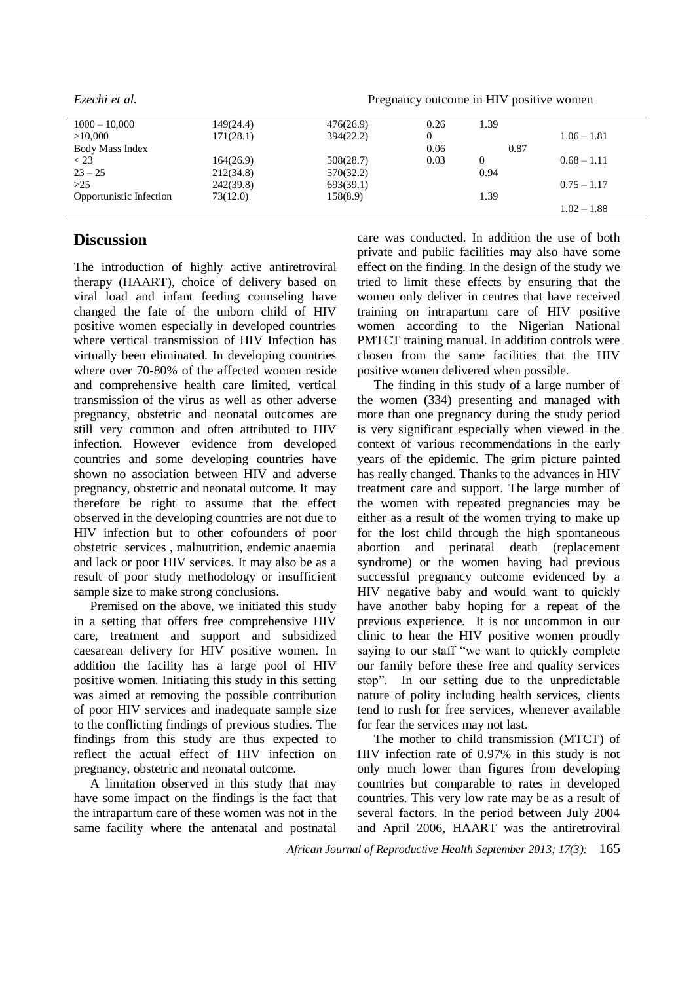*Ezechi et al.* Pregnancy outcome in HIV positive women

| $1000 - 10,000$         | 149(24.4) | 476(26.9) | 0.26 | 1.39     |               |
|-------------------------|-----------|-----------|------|----------|---------------|
| >10,000                 | 171(28.1) | 394(22.2) | 0    |          | $1.06 - 1.81$ |
| Body Mass Index         |           |           | 0.06 | 0.87     |               |
| $<$ 23                  | 164(26.9) | 508(28.7) | 0.03 | $\theta$ | $0.68 - 1.11$ |
| $23 - 25$               | 212(34.8) | 570(32.2) |      | 0.94     |               |
| >25                     | 242(39.8) | 693(39.1) |      |          | $0.75 - 1.17$ |
| Opportunistic Infection | 73(12.0)  | 158(8.9)  |      | 1.39     |               |
|                         |           |           |      |          | $1.02 - 1.88$ |

## **Discussion**

The introduction of highly active antiretroviral therapy (HAART), choice of delivery based on viral load and infant feeding counseling have changed the fate of the unborn child of HIV positive women especially in developed countries where vertical transmission of HIV Infection has virtually been eliminated. In developing countries where over 70-80% of the affected women reside and comprehensive health care limited, vertical transmission of the virus as well as other adverse pregnancy, obstetric and neonatal outcomes are still very common and often attributed to HIV infection. However evidence from developed countries and some developing countries have shown no association between HIV and adverse pregnancy, obstetric and neonatal outcome. It may therefore be right to assume that the effect observed in the developing countries are not due to HIV infection but to other cofounders of poor obstetric services , malnutrition, endemic anaemia and lack or poor HIV services. It may also be as a result of poor study methodology or insufficient sample size to make strong conclusions.

Premised on the above, we initiated this study in a setting that offers free comprehensive HIV care, treatment and support and subsidized caesarean delivery for HIV positive women. In addition the facility has a large pool of HIV positive women. Initiating this study in this setting was aimed at removing the possible contribution of poor HIV services and inadequate sample size to the conflicting findings of previous studies. The findings from this study are thus expected to reflect the actual effect of HIV infection on pregnancy, obstetric and neonatal outcome.

A limitation observed in this study that may have some impact on the findings is the fact that the intrapartum care of these women was not in the same facility where the antenatal and postnatal care was conducted. In addition the use of both private and public facilities may also have some effect on the finding. In the design of the study we tried to limit these effects by ensuring that the women only deliver in centres that have received training on intrapartum care of HIV positive women according to the Nigerian National PMTCT training manual. In addition controls were chosen from the same facilities that the HIV positive women delivered when possible.

The finding in this study of a large number of the women (334) presenting and managed with more than one pregnancy during the study period is very significant especially when viewed in the context of various recommendations in the early years of the epidemic. The grim picture painted has really changed. Thanks to the advances in HIV treatment care and support. The large number of the women with repeated pregnancies may be either as a result of the women trying to make up for the lost child through the high spontaneous abortion and perinatal death (replacement syndrome) or the women having had previous successful pregnancy outcome evidenced by a HIV negative baby and would want to quickly have another baby hoping for a repeat of the previous experience. It is not uncommon in our clinic to hear the HIV positive women proudly saying to our staff "we want to quickly complete our family before these free and quality services stop". In our setting due to the unpredictable nature of polity including health services, clients tend to rush for free services, whenever available for fear the services may not last.

The mother to child transmission (MTCT) of HIV infection rate of 0.97% in this study is not only much lower than figures from developing countries but comparable to rates in developed countries. This very low rate may be as a result of several factors. In the period between July 2004 and April 2006, HAART was the antiretroviral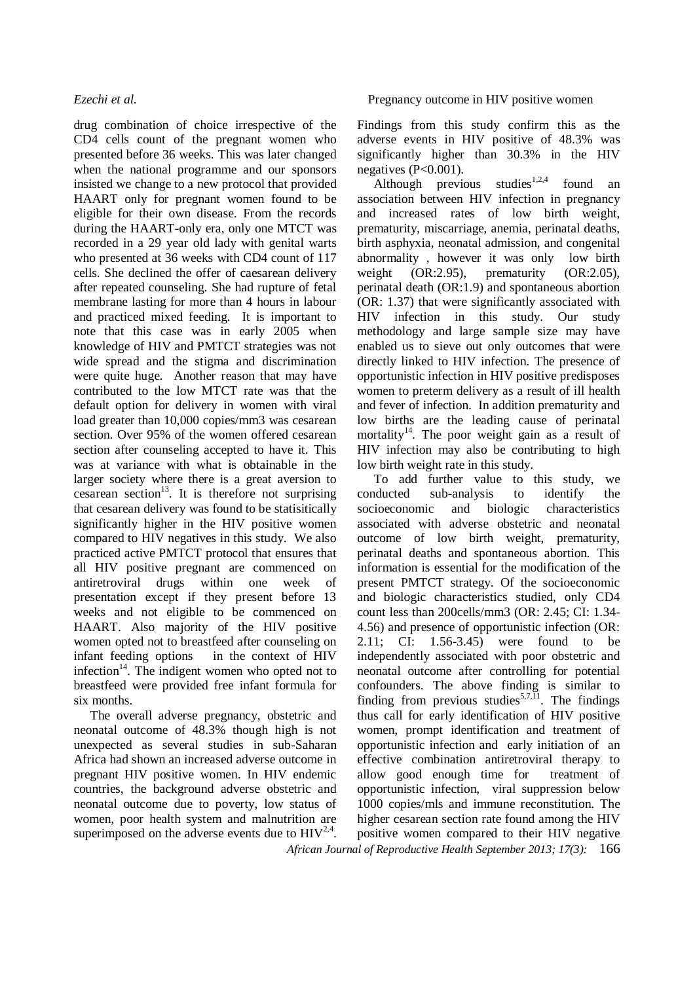drug combination of choice irrespective of the CD4 cells count of the pregnant women who presented before 36 weeks. This was later changed when the national programme and our sponsors insisted we change to a new protocol that provided HAART only for pregnant women found to be eligible for their own disease. From the records during the HAART-only era, only one MTCT was recorded in a 29 year old lady with genital warts who presented at 36 weeks with CD4 count of 117 cells. She declined the offer of caesarean delivery after repeated counseling. She had rupture of fetal membrane lasting for more than 4 hours in labour and practiced mixed feeding. It is important to note that this case was in early 2005 when knowledge of HIV and PMTCT strategies was not wide spread and the stigma and discrimination were quite huge. Another reason that may have contributed to the low MTCT rate was that the default option for delivery in women with viral load greater than 10,000 copies/mm3 was cesarean section. Over 95% of the women offered cesarean section after counseling accepted to have it. This was at variance with what is obtainable in the larger society where there is a great aversion to cesarean section<sup>13</sup>. It is therefore not surprising that cesarean delivery was found to be statisitically significantly higher in the HIV positive women compared to HIV negatives in this study. We also practiced active PMTCT protocol that ensures that all HIV positive pregnant are commenced on antiretroviral drugs within one week of presentation except if they present before 13 weeks and not eligible to be commenced on HAART. Also majority of the HIV positive women opted not to breastfeed after counseling on infant feeding options in the context of HIV infection<sup>14</sup>. The indigent women who opted not to breastfeed were provided free infant formula for six months.

The overall adverse pregnancy, obstetric and neonatal outcome of 48.3% though high is not unexpected as several studies in sub-Saharan Africa had shown an increased adverse outcome in pregnant HIV positive women. In HIV endemic countries, the background adverse obstetric and neonatal outcome due to poverty, low status of women, poor health system and malnutrition are superimposed on the adverse events due to  $HIV^{2,4}$ . Findings from this study confirm this as the adverse events in HIV positive of 48.3% was significantly higher than 30.3% in the HIV negatives  $(P<0.001)$ .

Although previous studies<sup>1,2,4</sup> found an association between HIV infection in pregnancy and increased rates of low birth weight, prematurity, miscarriage, anemia, perinatal deaths, birth asphyxia, neonatal admission, and congenital abnormality , however it was only low birth weight (OR:2.95), prematurity (OR:2.05), perinatal death (OR:1.9) and spontaneous abortion (OR: 1.37) that were significantly associated with HIV infection in this study. Our study methodology and large sample size may have enabled us to sieve out only outcomes that were directly linked to HIV infection. The presence of opportunistic infection in HIV positive predisposes women to preterm delivery as a result of ill health and fever of infection. In addition prematurity and low births are the leading cause of perinatal mortality<sup>14</sup>. The poor weight gain as a result of HIV infection may also be contributing to high low birth weight rate in this study.

To add further value to this study, we conducted sub-analysis to identify the socioeconomic and biologic characteristics associated with adverse obstetric and neonatal outcome of low birth weight, prematurity, perinatal deaths and spontaneous abortion. This information is essential for the modification of the present PMTCT strategy. Of the socioeconomic and biologic characteristics studied, only CD4 count less than 200cells/mm3 (OR: 2.45; CI: 1.34- 4.56) and presence of opportunistic infection (OR: 2.11; CI: 1.56-3.45) were found to be independently associated with poor obstetric and neonatal outcome after controlling for potential confounders. The above finding is similar to finding from previous studies<sup>5,7,11</sup>. The findings thus call for early identification of HIV positive women, prompt identification and treatment of opportunistic infection and early initiation of an effective combination antiretroviral therapy to allow good enough time for treatment of opportunistic infection, viral suppression below 1000 copies/mls and immune reconstitution. The higher cesarean section rate found among the HIV positive women compared to their HIV negative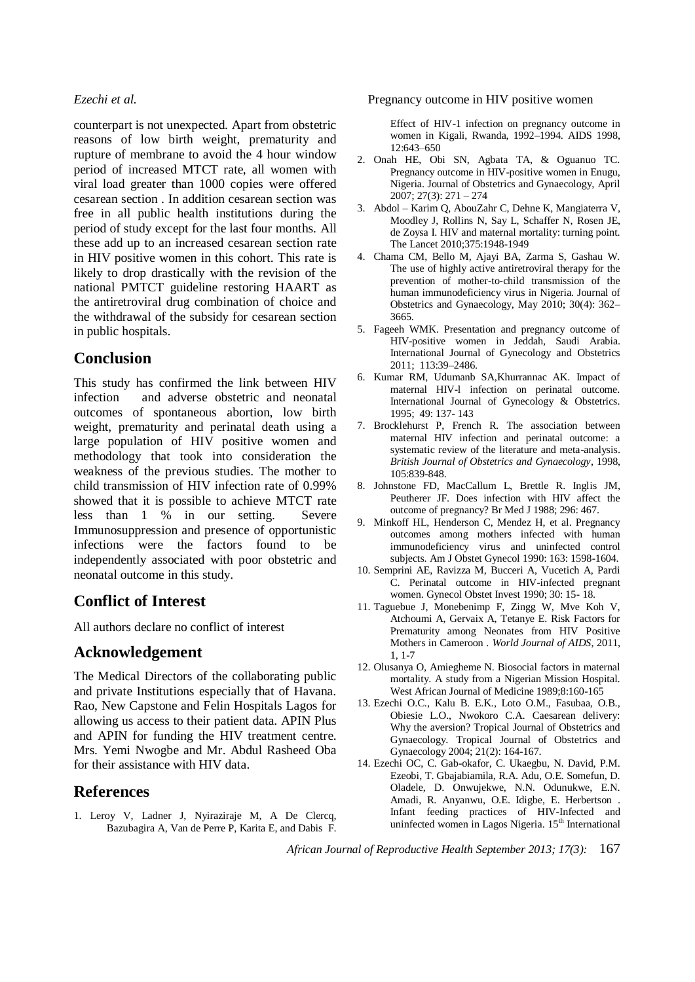counterpart is not unexpected. Apart from obstetric reasons of low birth weight, prematurity and rupture of membrane to avoid the 4 hour window period of increased MTCT rate, all women with viral load greater than 1000 copies were offered cesarean section . In addition cesarean section was free in all public health institutions during the period of study except for the last four months. All these add up to an increased cesarean section rate in HIV positive women in this cohort. This rate is likely to drop drastically with the revision of the national PMTCT guideline restoring HAART as the antiretroviral drug combination of choice and the withdrawal of the subsidy for cesarean section in public hospitals.

## **Conclusion**

This study has confirmed the link between HIV infection and adverse obstetric and neonatal outcomes of spontaneous abortion, low birth weight, prematurity and perinatal death using a large population of HIV positive women and methodology that took into consideration the weakness of the previous studies. The mother to child transmission of HIV infection rate of 0.99% showed that it is possible to achieve MTCT rate less than 1 % in our setting. Severe Immunosuppression and presence of opportunistic infections were the factors found to be independently associated with poor obstetric and neonatal outcome in this study.

## **Conflict of Interest**

All authors declare no conflict of interest

### **Acknowledgement**

The Medical Directors of the collaborating public and private Institutions especially that of Havana. Rao, New Capstone and Felin Hospitals Lagos for allowing us access to their patient data. APIN Plus and APIN for funding the HIV treatment centre. Mrs. Yemi Nwogbe and Mr. Abdul Rasheed Oba for their assistance with HIV data.

### **References**

1. Leroy V, Ladner J, Nyiraziraje M, A De Clercq, Bazubagira A, Van de Perre P, Karita E, and Dabis F.

#### *Ezechi et al.* Pregnancy outcome in HIV positive women

Effect of HIV-1 infection on pregnancy outcome in women in Kigali, Rwanda, 1992–1994. AIDS 1998, 12:643–650

- 2. Onah HE, Obi SN, Agbata TA, & Oguanuo TC. Pregnancy outcome in HIV-positive women in Enugu, Nigeria. Journal of Obstetrics and Gynaecology, April 2007; 27(3): 271 – 274
- 3. Abdol Karim Q, AbouZahr C, Dehne K, Mangiaterra V, Moodley J, Rollins N, Say L, Schaffer N, Rosen JE, de Zoysa I. HIV and maternal mortality: turning point. The Lancet 2010;375:1948-1949
- 4. Chama CM, Bello M, Ajayi BA, Zarma S, Gashau W. The use of highly active antiretroviral therapy for the prevention of mother-to-child transmission of the human immunodeficiency virus in Nigeria. Journal of Obstetrics and Gynaecology, May 2010; 30(4): 362– 3665.
- 5. Fageeh WMK. Presentation and pregnancy outcome of HIV-positive women in Jeddah, Saudi Arabia. International Journal of Gynecology and Obstetrics 2011; 113:39–2486.
- 6. Kumar RM, Udumanb SA,Khurrannac AK. Impact of maternal HIV-l infection on perinatal outcome. International Journal of Gynecology & Obstetrics. 1995; 49: 137- 143
- 7. Brocklehurst P, French R. The association between maternal HIV infection and perinatal outcome: a systematic review of the literature and meta-analysis. *British Journal of Obstetrics and Gynaecology*, 1998, 105:839-848.
- 8. Johnstone FD, MacCallum L, Brettle R. Inglis JM, Peutherer JF. Does infection with HIV affect the outcome of pregnancy? Br Med J 1988; 296: 467.
- 9. Minkoff HL, Henderson C, Mendez H, et al. Pregnancy outcomes among mothers infected with human immunodeficiency virus and uninfected control subjects. Am J Obstet Gynecol 1990: 163: 1598-1604.
- 10. Semprini AE, Ravizza M, Bucceri A, Vucetich A, Pardi C. Perinatal outcome in HIV-infected pregnant women. Gynecol Obstet Invest 1990; 30: 15- 18.
- 11. Taguebue J, Monebenimp F, Zingg W, Mve Koh V, Atchoumi A, Gervaix A, Tetanye E. Risk Factors for Prematurity among Neonates from HIV Positive Mothers in Cameroon . *World Journal of AIDS*, 2011, 1, 1-7
- 12. Olusanya O, Amiegheme N. Biosocial factors in maternal mortality. A study from a Nigerian Mission Hospital. West African Journal of Medicine 1989;8:160-165
- 13. Ezechi O.C., Kalu B. E.K., Loto O.M., Fasubaa, O.B., Obiesie L.O., Nwokoro C.A. Caesarean delivery: Why the aversion? Tropical Journal of Obstetrics and Gynaecology. Tropical Journal of Obstetrics and Gynaecology 2004; 21(2): 164-167.
- 14. Ezechi OC, C. Gab-okafor, C. Ukaegbu, N. David, P.M. Ezeobi, T. Gbajabiamila, R.A. Adu, O.E. Somefun, D. Oladele, D. Onwujekwe, N.N. Odunukwe, E.N. Amadi, R. Anyanwu, O.E. Idigbe, E. Herbertson . Infant feeding practices of HIV-Infected and uninfected women in Lagos Nigeria.  $15<sup>th</sup>$  International